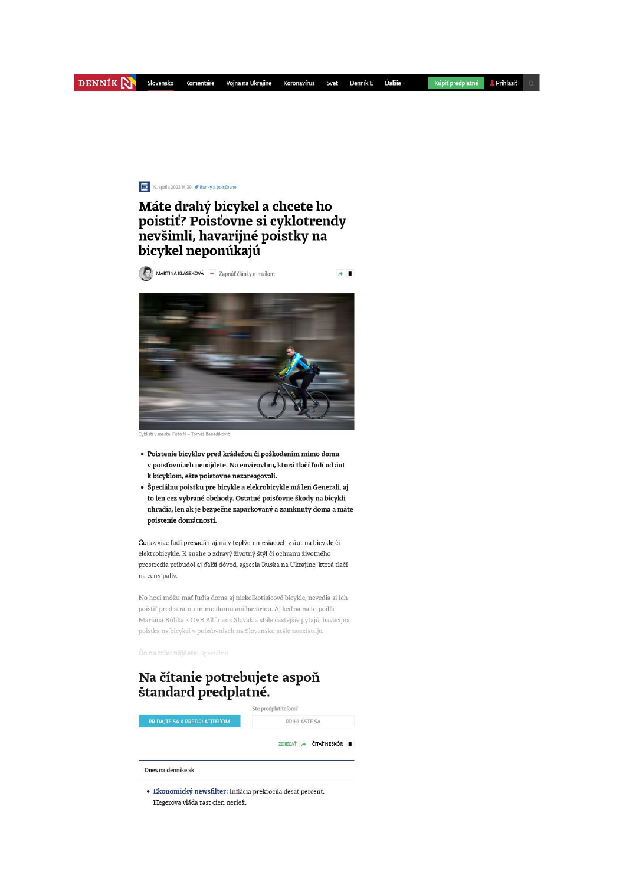## 19. apríla 2022 14:39 **/** Banky a poisťovne

## Máte drahý bicykel a chcete ho poistiť? Poisťovne si cyklotrendy nevšimli, havarijné poistky na bicykel neponúkajú

 $\rightarrow$   $\blacksquare$ 

MARTINA KLÁSEKOVÁ + Zapnúť články e-mailom



- · Poistenie bicyklov pred krádežou či poškodením mimo domu v poisťovniach nenájdete. Na envirovlnu, ktorá tlačí ľudí od áut k bicyklom, ešte poisťovne nezareagovali.
- · Špeciálnu poistku pre bicykle a elekrobicykle má len Generali, aj to len cez vybrané obchody. Ostatné poisťovne škody na bicykli uhradia, len ak je bezpečne zaparkovaný a zamknutý doma a máte poistenie domácnosti.

Čoraz viac ľudí presadá najmä v teplých mesiacoch z áut na bicykle či elektrobicykle. K snahe o zdravý životný štýl či ochranu životného prostredia pribudol aj ďalší dôvod, agresia Ruska na Ukrajine, ktorá tlačí na ceny palív.

No hoci môžu mať ľudia doma aj niekoľkotisícové bicykle, nevedia si ich poistiť pred stratou mimo domu ani haváriou. Aj keď sa na to podľa Mariána Búlika z OVB Allfinanz Slovakia stále častejšie pýtajú, havarijná poistka na bicykel v poisťovniach na Slovensku stále neexistuje

## Na čítanie potrebujete aspoň štandard predplatné.



· Ekonomický newsfilter: Inflácia prekročila desať percent, Hegerova vláda rast cien nerieši